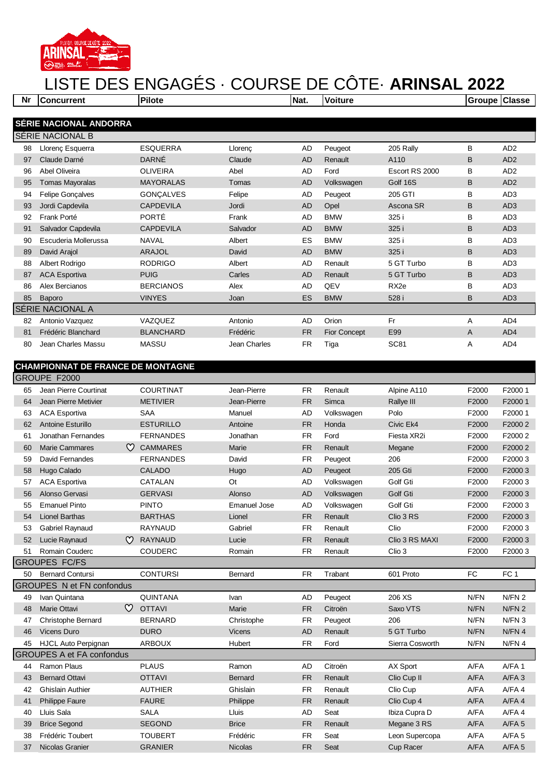

## LISTE DES ENGAGÉS · COURSE DE CÔTE· **ARINSAL 2022**

| Nr                     | <b>Concurrent</b>       | <b>Pilote</b>    |              | Nat.      | <b>Voiture</b> |                  | Groupe Classe |                 |  |
|------------------------|-------------------------|------------------|--------------|-----------|----------------|------------------|---------------|-----------------|--|
|                        |                         |                  |              |           |                |                  |               |                 |  |
| SÉRIE NACIONAL ANDORRA |                         |                  |              |           |                |                  |               |                 |  |
|                        | SÉRIE NACIONAL B        |                  |              |           |                |                  |               |                 |  |
| 98                     | Llorenç Esquerra        | <b>ESQUERRA</b>  | Llorenc      | AD        | Peugeot        | 205 Rally        | B             | AD <sub>2</sub> |  |
| 97                     | Claude Darné            | <b>DARNÉ</b>     | Claude       | <b>AD</b> | Renault        | A110             | B             | AD <sub>2</sub> |  |
| 96                     | Abel Oliveira           | <b>OLIVEIRA</b>  | Abel         | <b>AD</b> | Ford           | Escort RS 2000   | в             | AD <sub>2</sub> |  |
| 95                     | <b>Tomas Mayoralas</b>  | <b>MAYORALAS</b> | Tomas        | <b>AD</b> | Volkswagen     | Golf 16S         | B             | AD <sub>2</sub> |  |
| 94                     | <b>Felipe Gonçalves</b> | <b>GONCALVES</b> | Felipe       | <b>AD</b> | Peugeot        | 205 GTI          | в             | AD <sub>3</sub> |  |
| 93                     | Jordi Capdevila         | <b>CAPDEVILA</b> | Jordi        | <b>AD</b> | Opel           | Ascona SR        | B             | AD <sub>3</sub> |  |
| 92                     | Frank Porté             | <b>PORTÉ</b>     | Frank        | <b>AD</b> | <b>BMW</b>     | 325 i            | в             | AD <sub>3</sub> |  |
| 91                     | Salvador Capdevila      | <b>CAPDEVILA</b> | Salvador     | <b>AD</b> | <b>BMW</b>     | 325 i            | B             | AD <sub>3</sub> |  |
| 90                     | Escuderia Mollerussa    | <b>NAVAL</b>     | Albert       | ES        | <b>BMW</b>     | 325 i            | B             | AD <sub>3</sub> |  |
| 89                     | David Arajol            | <b>ARAJOL</b>    | David        | <b>AD</b> | <b>BMW</b>     | 325 i            | B             | AD <sub>3</sub> |  |
| 88                     | Albert Rodrigo          | <b>RODRIGO</b>   | Albert       | <b>AD</b> | Renault        | 5 GT Turbo       | в             | AD <sub>3</sub> |  |
| 87                     | <b>ACA Esportiva</b>    | <b>PUIG</b>      | Carles       | <b>AD</b> | Renault        | 5 GT Turbo       | B             | AD <sub>3</sub> |  |
| 86                     | Alex Bercianos          | <b>BERCIANOS</b> | Alex         | <b>AD</b> | QEV            | RX <sub>2e</sub> | B             | AD <sub>3</sub> |  |
| 85                     | <b>Baporo</b>           | <b>VINYES</b>    | Joan         | <b>ES</b> | <b>BMW</b>     | 528 i            | B             | AD <sub>3</sub> |  |
| SÉRIE NACIONAL A       |                         |                  |              |           |                |                  |               |                 |  |
| 82                     | Antonio Vazquez         | VAZQUEZ          | Antonio      | AD        | Orion          | Fr               | Α             | AD4             |  |
| 81                     | Frédéric Blanchard      | <b>BLANCHARD</b> | Frédéric     | <b>FR</b> | Fior Concept   | E99              | A             | AD4             |  |
| 80                     | Jean Charles Massu      | <b>MASSU</b>     | Jean Charles | <b>FR</b> | Tiga           | <b>SC81</b>      | Α             | AD4             |  |

## **CHAMPIONNAT DE FRANCE DE MONTAGNE**

| GROUPE F2000                     |                                  |                  |                     |           |            |                 |           |                   |  |
|----------------------------------|----------------------------------|------------------|---------------------|-----------|------------|-----------------|-----------|-------------------|--|
| 65                               | Jean Pierre Courtinat            | <b>COURTINAT</b> | Jean-Pierre         | <b>FR</b> | Renault    | Alpine A110     | F2000     | F20001            |  |
| 64                               | Jean Pierre Metivier             | <b>METIVIER</b>  | Jean-Pierre         | <b>FR</b> | Simca      | Rallye III      | F2000     | F2000 1           |  |
| 63                               | <b>ACA Esportiva</b>             | <b>SAA</b>       | Manuel              | <b>AD</b> | Volkswagen | Polo            | F2000     | F20001            |  |
| 62                               | <b>Antoine Esturillo</b>         | <b>ESTURILLO</b> | Antoine             | <b>FR</b> | Honda      | Civic Ek4       | F2000     | F2000 2           |  |
| 61                               | Jonathan Fernandes               | <b>FERNANDES</b> | Jonathan            | <b>FR</b> | Ford       | Fiesta XR2i     | F2000     | F2000 2           |  |
| 60                               | $\circ$<br><b>Marie Cammares</b> | <b>CAMMARES</b>  | Marie               | <b>FR</b> | Renault    | Megane          | F2000     | F2000 2           |  |
| 59                               | David Fernandes                  | <b>FERNANDES</b> | David               | <b>FR</b> | Peugeot    | 206             | F2000     | F20003            |  |
| 58                               | Hugo Calado                      | CALADO           | Hugo                | <b>AD</b> | Peugeot    | 205 Gti         | F2000     | F20003            |  |
| 57                               | <b>ACA Esportiva</b>             | CATALAN          | Ot                  | <b>AD</b> | Volkswagen | Golf Gti        | F2000     | F20003            |  |
| 56                               | Alonso Gervasi                   | <b>GERVASI</b>   | Alonso              | <b>AD</b> | Volkswagen | Golf Gti        | F2000     | F20003            |  |
| 55                               | <b>Emanuel Pinto</b>             | <b>PINTO</b>     | <b>Emanuel Jose</b> | <b>AD</b> | Volkswagen | Golf Gti        | F2000     | F20003            |  |
| 54                               | <b>Lionel Barthas</b>            | <b>BARTHAS</b>   | Lionel              | <b>FR</b> | Renault    | Clio 3 RS       | F2000     | F20003            |  |
| 53                               | Gabriel Raynaud                  | <b>RAYNAUD</b>   | Gabriel             | <b>FR</b> | Renault    | Clio            | F2000     | F20003            |  |
| 52                               | Lucie Raynaud<br>$\infty$        | <b>RAYNAUD</b>   | Lucie               | <b>FR</b> | Renault    | Clio 3 RS MAXI  | F2000     | F20003            |  |
| 51                               | Romain Couderc                   | <b>COUDERC</b>   | Romain              | <b>FR</b> | Renault    | Clio 3          | F2000     | F20003            |  |
|                                  | <b>GROUPES FC/FS</b>             |                  |                     |           |            |                 |           |                   |  |
| 50                               | <b>Bernard Contursi</b>          | <b>CONTURSI</b>  | Bernard             | <b>FR</b> | Trabant    | 601 Proto       | <b>FC</b> | FC <sub>1</sub>   |  |
|                                  | <b>GROUPES N et FN confondus</b> |                  |                     |           |            |                 |           |                   |  |
| 49                               | Ivan Quintana                    | <b>QUINTANA</b>  | Ivan                | AD        | Peugeot    | 206 XS          | N/FN      | N/FN <sub>2</sub> |  |
| 48                               | $\infty$<br>Marie Ottavi         | <b>OTTAVI</b>    | Marie               | <b>FR</b> | Citroën    | Saxo VTS        | N/FN      | N/FN <sub>2</sub> |  |
| 47                               | Christophe Bernard               | <b>BERNARD</b>   | Christophe          | <b>FR</b> | Peugeot    | 206             | N/FN      | N/FN <sub>3</sub> |  |
| 46                               | <b>Vicens Duro</b>               | <b>DURO</b>      | <b>Vicens</b>       | <b>AD</b> | Renault    | 5 GT Turbo      | N/FN      | N/FN 4            |  |
| 45                               | <b>HJCL Auto Perpignan</b>       | <b>ARBOUX</b>    | Hubert              | <b>FR</b> | Ford       | Sierra Cosworth | N/FN      | N/FN <sub>4</sub> |  |
| <b>GROUPES A et FA confondus</b> |                                  |                  |                     |           |            |                 |           |                   |  |
| 44                               | Ramon Plaus                      | <b>PLAUS</b>     | Ramon               | <b>AD</b> | Citroën    | AX Sport        | A/FA      | $A/FA$ 1          |  |
| 43                               | <b>Bernard Ottavi</b>            | <b>OTTAVI</b>    | <b>Bernard</b>      | <b>FR</b> | Renault    | Clio Cup II     | A/FA      | $A/FA$ 3          |  |
| 42                               | <b>Ghislain Authier</b>          | <b>AUTHIER</b>   | Ghislain            | <b>FR</b> | Renault    | Clio Cup        | A/FA      | $A/FA$ 4          |  |
| 41                               | <b>Philippe Faure</b>            | <b>FAURE</b>     | Philippe            | <b>FR</b> | Renault    | Clio Cup 4      | A/FA      | $A/FA$ 4          |  |
| 40                               | Lluis Sala                       | <b>SALA</b>      | Lluis               | <b>AD</b> | Seat       | Ibiza Cupra D   | A/FA      | $A/FA$ 4          |  |
| 39                               | <b>Brice Segond</b>              | <b>SEGOND</b>    | <b>Brice</b>        | <b>FR</b> | Renault    | Megane 3 RS     | A/FA      | $A/FA$ 5          |  |
| 38                               | Frédéric Toubert                 | <b>TOUBERT</b>   | Frédéric            | <b>FR</b> | Seat       | Leon Supercopa  | A/FA      | $A/FA$ 5          |  |
| 37                               | Nicolas Granier                  | <b>GRANIER</b>   | <b>Nicolas</b>      | <b>FR</b> | Seat       | Cup Racer       | A/FA      | $A/FA$ 5          |  |